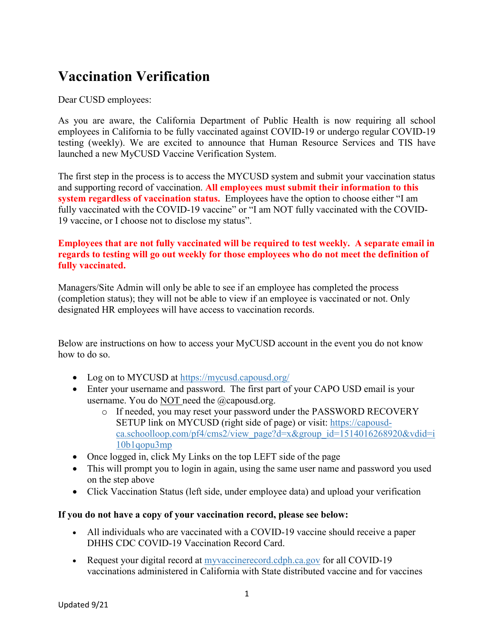## **Vaccination Verification**

Dear CUSD employees:

As you are aware, the California Department of Public Health is now requiring all school employees in California to be fully vaccinated against COVID-19 or undergo regular COVID-19 testing (weekly). We are excited to announce that Human Resource Services and TIS have launched a new MyCUSD Vaccine Verification System.

The first step in the process is to access the MYCUSD system and submit your vaccination status and supporting record of vaccination. **All employees must submit their information to this system regardless of vaccination status.** Employees have the option to choose either "I am fully vaccinated with the COVID-19 vaccine" or "I am NOT fully vaccinated with the COVID-19 vaccine, or I choose not to disclose my status".

## **Employees that are not fully vaccinated will be required to test weekly. A separate email in regards to testing will go out weekly for those employees who do not meet the definition of fully vaccinated.**

Managers/Site Admin will only be able to see if an employee has completed the process (completion status); they will not be able to view if an employee is vaccinated or not. Only designated HR employees will have access to vaccination records.

Below are instructions on how to access your MyCUSD account in the event you do not know how to do so.

- Log on to MYCUSD at<https://mycusd.capousd.org/>
- Enter your username and password. The first part of your CAPO USD email is your username. You do NOT need the @capousd.org.
	- o If needed, you may reset your password under the PASSWORD RECOVERY SETUP link on MYCUSD (right side of page) or visit: [https://capousd](https://capousd-ca.schoolloop.com/pf4/cms2/view_page?d=x&group_id=1514016268920&vdid=i10b1qopu3mp)[ca.schoolloop.com/pf4/cms2/view\\_page?d=x&group\\_id=1514016268920&vdid=i](https://capousd-ca.schoolloop.com/pf4/cms2/view_page?d=x&group_id=1514016268920&vdid=i10b1qopu3mp) [10b1qopu3mp](https://capousd-ca.schoolloop.com/pf4/cms2/view_page?d=x&group_id=1514016268920&vdid=i10b1qopu3mp)
- Once logged in, click My Links on the top LEFT side of the page
- This will prompt you to login in again, using the same user name and password you used on the step above
- Click Vaccination Status (left side, under employee data) and upload your verification

## **If you do not have a copy of your vaccination record, please see below:**

- All individuals who are vaccinated with a COVID-19 vaccine should receive a paper DHHS CDC COVID-19 Vaccination Record Card.
- Request your digital record at [myvaccinerecord.cdph.ca.gov](https://myvaccinerecord.cdph.ca.gov/) for all COVID-19 vaccinations administered in California with State distributed vaccine and for vaccines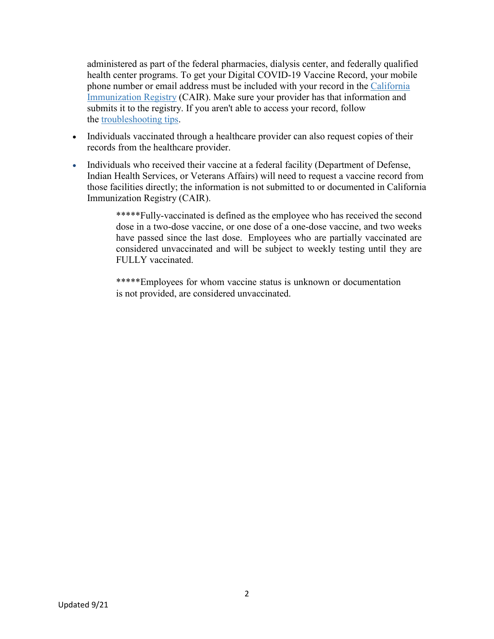administered as part of the federal pharmacies, dialysis center, and federally qualified health center programs. To get your Digital COVID-19 Vaccine Record, your mobile phone number or email address must be included with your record in the [California](https://cairweb.org/)  [Immunization Registry](https://cairweb.org/) (CAIR). Make sure your provider has that information and submits it to the registry. If you aren't able to access your record, follow the [troubleshooting tips.](https://www.cdph.ca.gov/Programs/CID/DCDC/Pages/Immunization/COVID-19VaccineRecord.aspx)

- Individuals vaccinated through a healthcare provider can also request copies of their records from the healthcare provider.
- Individuals who received their vaccine at a federal facility (Department of Defense, Indian Health Services, or Veterans Affairs) will need to request a vaccine record from those facilities directly; the information is not submitted to or documented in California Immunization Registry (CAIR).

\*\*\*\*\*Fully-vaccinated is defined as the employee who has received the second dose in a two-dose vaccine, or one dose of a one-dose vaccine, and two weeks have passed since the last dose. Employees who are partially vaccinated are considered unvaccinated and will be subject to weekly testing until they are FULLY vaccinated.

\*\*\*\*\*Employees for whom vaccine status is unknown or documentation is not provided, are considered unvaccinated.